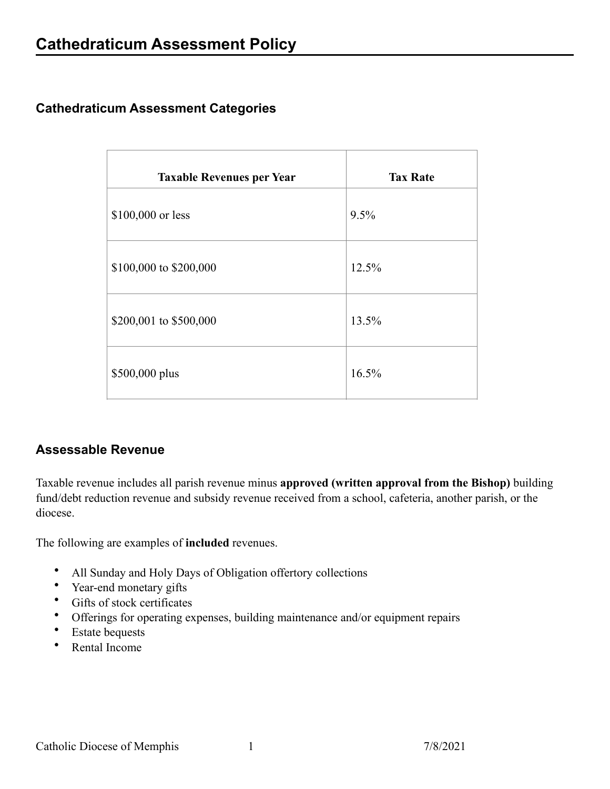## **Cathedraticum Assessment Categories**

| <b>Taxable Revenues per Year</b> | <b>Tax Rate</b> |
|----------------------------------|-----------------|
| \$100,000 or less                | 9.5%            |
| \$100,000 to \$200,000           | 12.5%           |
| \$200,001 to \$500,000           | 13.5%           |
| \$500,000 plus                   | 16.5%           |

## **Assessable Revenue**

Taxable revenue includes all parish revenue minus **approved (written approval from the Bishop)** building fund/debt reduction revenue and subsidy revenue received from a school, cafeteria, another parish, or the diocese.

The following are examples of **included** revenues.

- All Sunday and Holy Days of Obligation offertory collections
- Year-end monetary gifts
- Gifts of stock certificates
- Offerings for operating expenses, building maintenance and/or equipment repairs
- **Estate** bequests
- Rental Income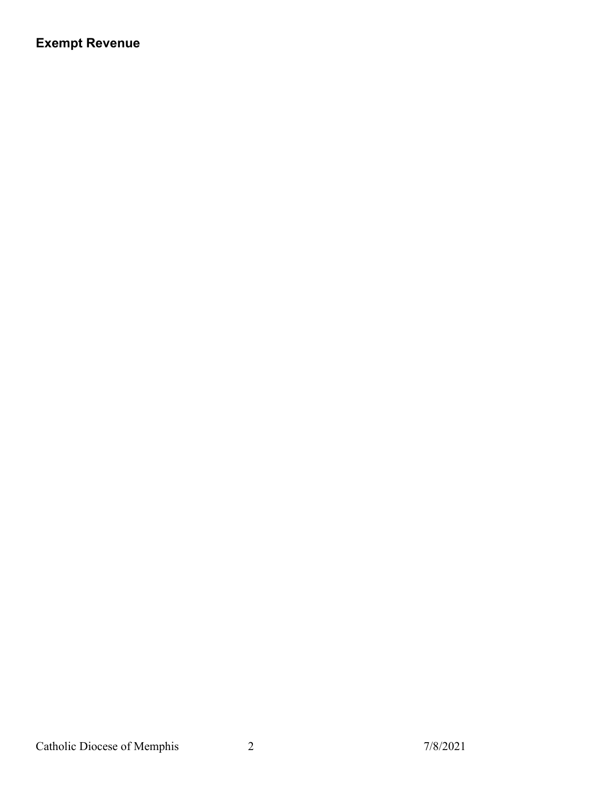## **Exempt Revenue**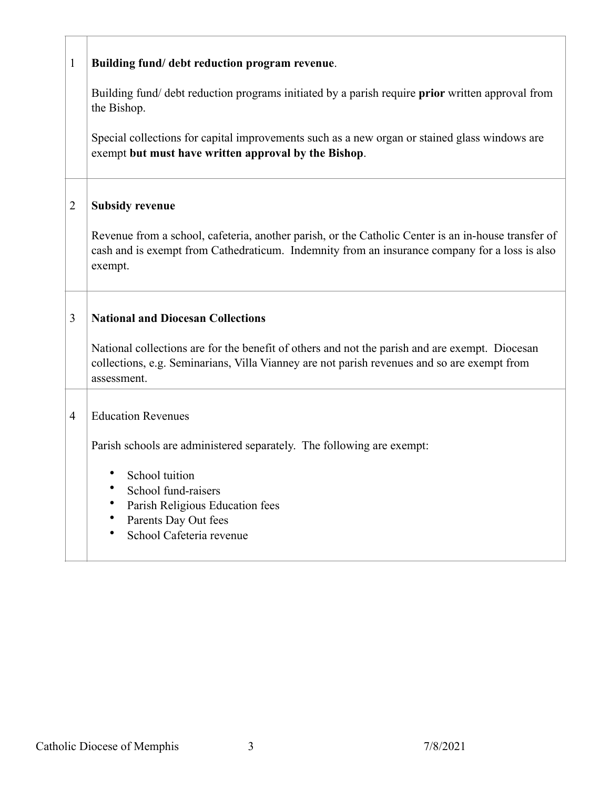| $\mathbf{1}$ | Building fund/ debt reduction program revenue.                                                                                                                                                                                                                                 |
|--------------|--------------------------------------------------------------------------------------------------------------------------------------------------------------------------------------------------------------------------------------------------------------------------------|
|              | Building fund/debt reduction programs initiated by a parish require <b>prior</b> written approval from<br>the Bishop.<br>Special collections for capital improvements such as a new organ or stained glass windows are<br>exempt but must have written approval by the Bishop. |
| 2            | <b>Subsidy revenue</b><br>Revenue from a school, cafeteria, another parish, or the Catholic Center is an in-house transfer of<br>cash and is exempt from Cathedraticum. Indemnity from an insurance company for a loss is also<br>exempt.                                      |
| 3            | <b>National and Diocesan Collections</b><br>National collections are for the benefit of others and not the parish and are exempt. Diocesan<br>collections, e.g. Seminarians, Villa Vianney are not parish revenues and so are exempt from<br>assessment.                       |
| 4            | <b>Education Revenues</b><br>Parish schools are administered separately. The following are exempt:<br>School tuition<br>School fund-raisers<br>Parish Religious Education fees<br>Parents Day Out fees<br>School Cafeteria revenue                                             |